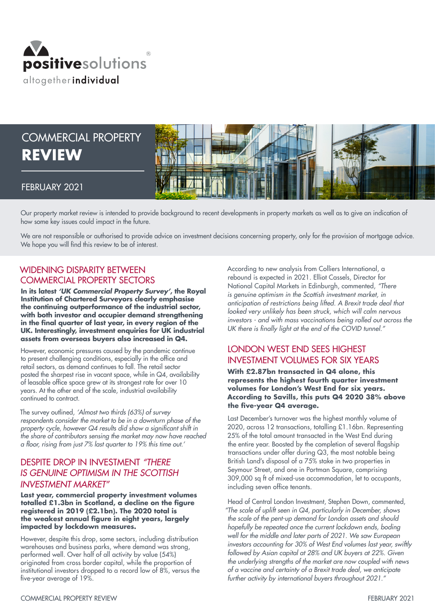

# COMMERCIAL PROPERTY **REVIEW**



## FEBRUARY 2021

Our property market review is intended to provide background to recent developments in property markets as well as to give an indication of how some key issues could impact in the future.

We are not responsible or authorised to provide advice on investment decisions concerning property, only for the provision of mortgage advice. We hope you will find this review to be of interest.

## WIDENING DISPARITY BETWEEN COMMERCIAL PROPERTY SECTORS

**In its latest** *'UK Commercial Property Survey'***, the Royal Institution of Chartered Surveyors clearly emphasise the continuing outperformance of the industrial sector, with both investor and occupier demand strengthening in the final quarter of last year, in every region of the UK. Interestingly, investment enquiries for UK industrial assets from overseas buyers also increased in Q4.**

However, economic pressures caused by the pandemic continue to present challenging conditions, especially in the office and retail sectors, as demand continues to fall. The retail sector posted the sharpest rise in vacant space, while in Q4, availability of leasable office space grew at its strongest rate for over 10 years. At the other end of the scale, industrial availability continued to contract.

The survey outlined, *'Almost two thirds (63%) of survey respondents consider the market to be in a downturn phase of the*  property cycle, however Q4 results did show a significant shift in *the share of contributors sensing the market may now have reached*  a floor, rising from just 7% last quarter to 19% this time out.'

## DESPITE DROP IN INVESTMENT *"THERE IS GENUINE OPTIMISM IN THE SCOTTISH INVESTMENT MARKET"*

**Last year, commercial property investment volumes totalled £1.3bn in Scotland, a decline on the figure registered in 2019 (£2.1bn). The 2020 total is the weakest annual figure in eight years, largely impacted by lockdown measures.**

However, despite this drop, some sectors, including distribution warehouses and business parks, where demand was strong, performed well. Over half of all activity by value (54%) originated from cross border capital, while the proportion of institutional investors dropped to a record low of 8%, versus the five-year average of 19%.

According to new analysis from Colliers International, a rebound is expected in 2021. Elliot Cassels, Director for National Capital Markets in Edinburgh, commented, *"There is genuine optimism in the Scottish investment market, in*  anticipation of restrictions being lifted. A Brexit trade deal that *looked very unlikely has been struck, which will calm nervous investors - and with mass vaccinations being rolled out across the*  UK there is finally light at the end of the COVID tunnel."

## LONDON WEST END SEES HIGHEST INVESTMENT VOLUMES FOR SIX YEARS

**With £2.87bn transacted in Q4 alone, this represents the highest fourth quarter investment volumes for London's West End for six years. According to Savills, this puts Q4 2020 38% above the five-year Q4 average.**

Last December's turnover was the highest monthly volume of 2020, across 12 transactions, totalling £1.16bn. Representing 25% of the total amount transacted in the West End during the entire year. Boosted by the completion of several flagship transactions under offer during Q3, the most notable being British Land's disposal of a 75% stake in two properties in Seymour Street, and one in Portman Square, comprising 309,000 sq ft of mixed-use accommodation, let to occupants, including seven office tenants.

Head of Central London Investment, Stephen Down, commented, "The scale of uplift seen in Q4, particularly in December, shows *the scale of the pent-up demand for London assets and should hopefully be repeated once the current lockdown ends, boding*  well for the middle and later parts of 2021. We saw European investors accounting for 30% of West End volumes last year, swiftly followed by Asian capital at 28% and UK buyers at 22%. Given *the underlying strengths of the market are now coupled with news*  of a vaccine and certainty of a Brexit trade deal, we anticipate further activity by international buyers throughout 2021."